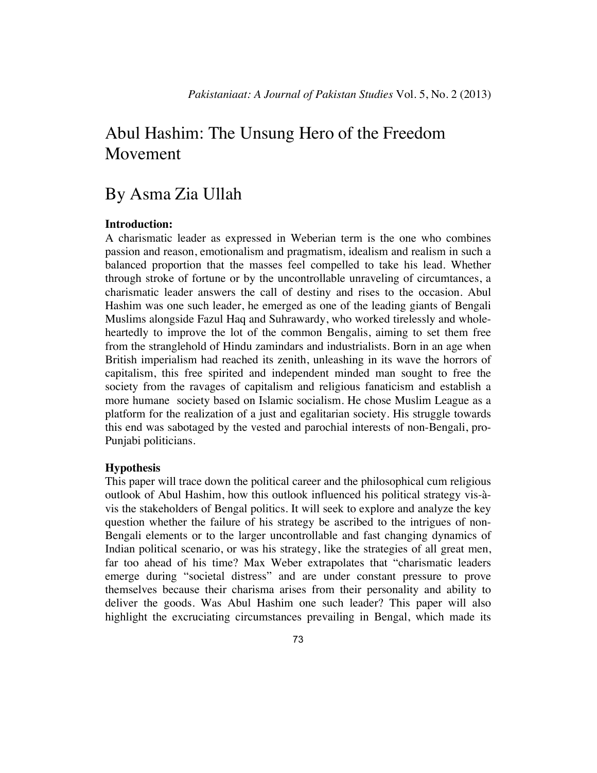# Abul Hashim: The Unsung Hero of the Freedom Movement

## By Asma Zia Ullah

## **Introduction:**

A charismatic leader as expressed in Weberian term is the one who combines passion and reason, emotionalism and pragmatism, idealism and realism in such a balanced proportion that the masses feel compelled to take his lead. Whether through stroke of fortune or by the uncontrollable unraveling of circumtances, a charismatic leader answers the call of destiny and rises to the occasion. Abul Hashim was one such leader, he emerged as one of the leading giants of Bengali Muslims alongside Fazul Haq and Suhrawardy, who worked tirelessly and wholeheartedly to improve the lot of the common Bengalis, aiming to set them free from the stranglehold of Hindu zamindars and industrialists. Born in an age when British imperialism had reached its zenith, unleashing in its wave the horrors of capitalism, this free spirited and independent minded man sought to free the society from the ravages of capitalism and religious fanaticism and establish a more humane society based on Islamic socialism. He chose Muslim League as a platform for the realization of a just and egalitarian society. His struggle towards this end was sabotaged by the vested and parochial interests of non-Bengali, pro-Punjabi politicians.

#### **Hypothesis**

This paper will trace down the political career and the philosophical cum religious outlook of Abul Hashim, how this outlook influenced his political strategy vis-àvis the stakeholders of Bengal politics. It will seek to explore and analyze the key question whether the failure of his strategy be ascribed to the intrigues of non-Bengali elements or to the larger uncontrollable and fast changing dynamics of Indian political scenario, or was his strategy, like the strategies of all great men, far too ahead of his time? Max Weber extrapolates that "charismatic leaders emerge during "societal distress" and are under constant pressure to prove themselves because their charisma arises from their personality and ability to deliver the goods. Was Abul Hashim one such leader? This paper will also highlight the excruciating circumstances prevailing in Bengal, which made its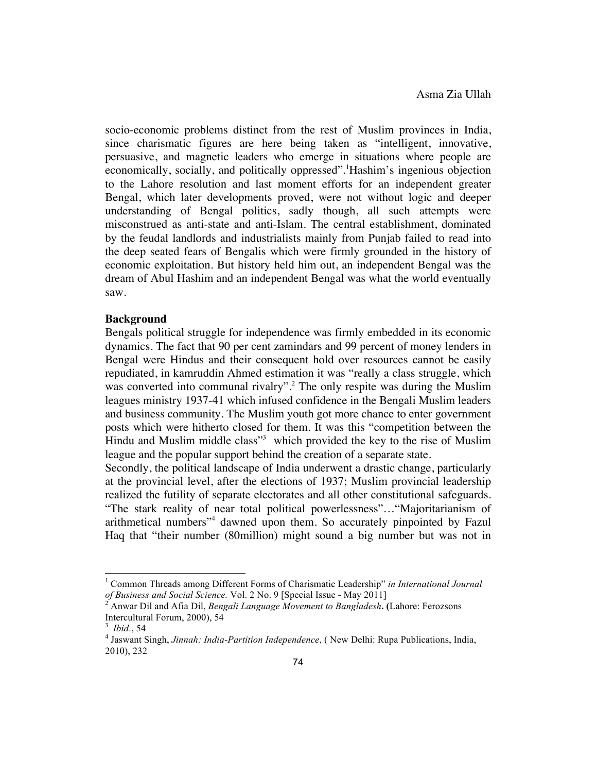socio-economic problems distinct from the rest of Muslim provinces in India, since charismatic figures are here being taken as "intelligent, innovative, persuasive, and magnetic leaders who emerge in situations where people are economically, socially, and politically oppressed".<sup>1</sup>Hashim's ingenious objection to the Lahore resolution and last moment efforts for an independent greater Bengal, which later developments proved, were not without logic and deeper understanding of Bengal politics, sadly though, all such attempts were misconstrued as anti-state and anti-Islam. The central establishment, dominated by the feudal landlords and industrialists mainly from Punjab failed to read into the deep seated fears of Bengalis which were firmly grounded in the history of economic exploitation. But history held him out, an independent Bengal was the dream of Abul Hashim and an independent Bengal was what the world eventually saw.

#### **Background**

Bengals political struggle for independence was firmly embedded in its economic dynamics. The fact that 90 per cent zamindars and 99 percent of money lenders in Bengal were Hindus and their consequent hold over resources cannot be easily repudiated, in kamruddin Ahmed estimation it was "really a class struggle, which was converted into communal rivalry".<sup>2</sup> The only respite was during the Muslim leagues ministry 1937-41 which infused confidence in the Bengali Muslim leaders and business community. The Muslim youth got more chance to enter government posts which were hitherto closed for them. It was this "competition between the Hindu and Muslim middle class"<sup>3</sup> which provided the key to the rise of Muslim league and the popular support behind the creation of a separate state.

Secondly, the political landscape of India underwent a drastic change, particularly at the provincial level, after the elections of 1937; Muslim provincial leadership realized the futility of separate electorates and all other constitutional safeguards. "The stark reality of near total political powerlessness"…"Majoritarianism of arithmetical numbers"<sup>4</sup> dawned upon them. So accurately pinpointed by Fazul Haq that "their number (80million) might sound a big number but was not in

<sup>1</sup> Common Threads among Different Forms of Charismatic Leadership" *in International Journal of Business and Social Science.* Vol. 2 No. 9 [Special Issue - May 2011] <sup>2</sup> Anwar Dil and Afia Dil, *Bengali Language Movement to Bangladesh***. (**Lahore: Ferozsons

Intercultural Forum, 2000), 54<br> $3$  *Ibid.*, 54

<sup>&</sup>lt;sup>4</sup> Jaswant Singh, *Jinnah: India-Partition Independence*, ( New Delhi: Rupa Publications, India, 2010), 232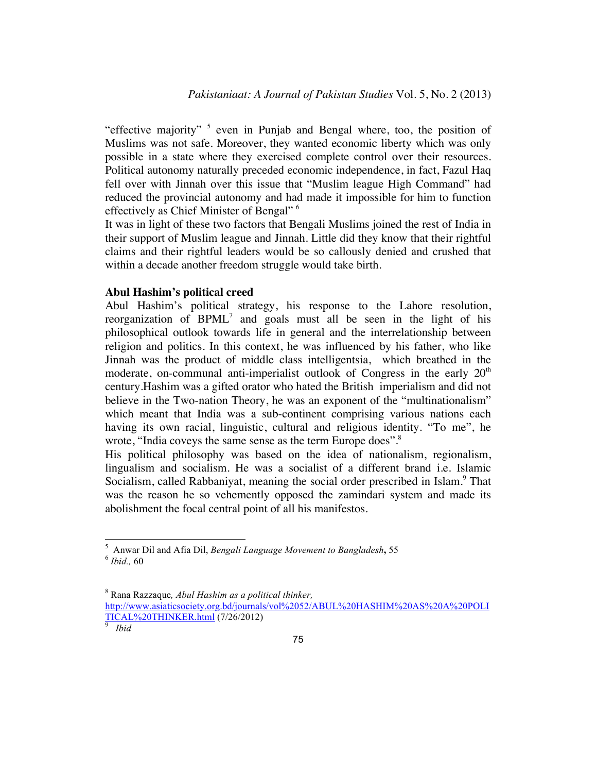"effective majority"  $5$  even in Punjab and Bengal where, too, the position of Muslims was not safe. Moreover, they wanted economic liberty which was only possible in a state where they exercised complete control over their resources. Political autonomy naturally preceded economic independence, in fact, Fazul Haq fell over with Jinnah over this issue that "Muslim league High Command" had reduced the provincial autonomy and had made it impossible for him to function effectively as Chief Minister of Bengal" 6

It was in light of these two factors that Bengali Muslims joined the rest of India in their support of Muslim league and Jinnah. Little did they know that their rightful claims and their rightful leaders would be so callously denied and crushed that within a decade another freedom struggle would take birth.

#### **Abul Hashim's political creed**

Abul Hashim's political strategy, his response to the Lahore resolution, reorganization of  $B P M L<sup>7</sup>$  and goals must all be seen in the light of his philosophical outlook towards life in general and the interrelationship between religion and politics. In this context, he was influenced by his father, who like Jinnah was the product of middle class intelligentsia, which breathed in the moderate, on-communal anti-imperialist outlook of Congress in the early  $20<sup>th</sup>$ century.Hashim was a gifted orator who hated the British imperialism and did not believe in the Two-nation Theory, he was an exponent of the "multinationalism" which meant that India was a sub-continent comprising various nations each having its own racial, linguistic, cultural and religious identity. "To me", he wrote, "India coveys the same sense as the term Europe does".<sup>8</sup>

His political philosophy was based on the idea of nationalism, regionalism, lingualism and socialism. He was a socialist of a different brand i.e. Islamic Socialism, called Rabbaniyat, meaning the social order prescribed in Islam.<sup>9</sup> That was the reason he so vehemently opposed the zamindari system and made its abolishment the focal central point of all his manifestos.

<sup>8</sup> Rana Razzaque*, Abul Hashim as a political thinker,* http://www.asiaticsociety.org.bd/journals/vol%2052/ABUL%20HASHIM%20AS%20A%20POLI

TICAL%20THINKER.html (7/26/2012) <sup>9</sup>

5 Anwar Dil and Afia Dil, *Bengali Language Movement to Bangladesh***,** <sup>55</sup> <sup>6</sup> *Ibid.,* <sup>60</sup>

<sup>&</sup>lt;sup>9</sup> Ibid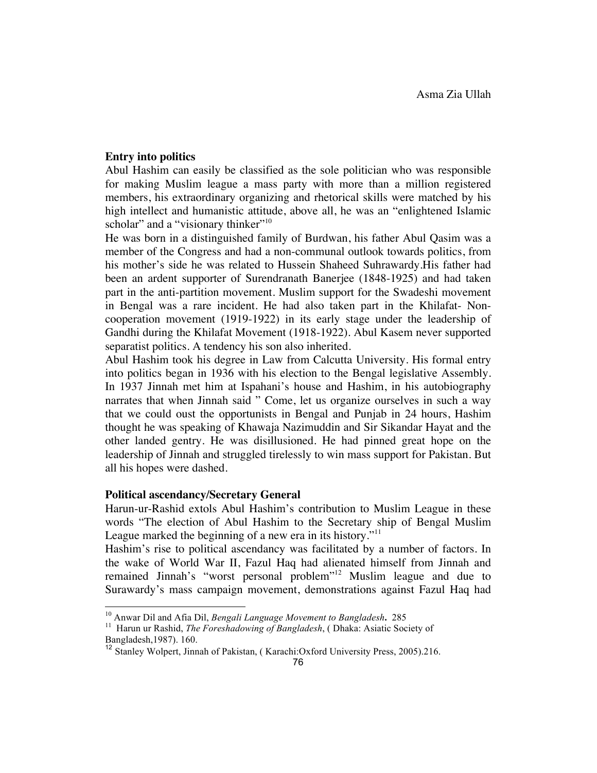## **Entry into politics**

Abul Hashim can easily be classified as the sole politician who was responsible for making Muslim league a mass party with more than a million registered members, his extraordinary organizing and rhetorical skills were matched by his high intellect and humanistic attitude, above all, he was an "enlightened Islamic scholar" and a "visionary thinker"<sup>10</sup>

He was born in a distinguished family of Burdwan, his father Abul Qasim was a member of the Congress and had a non-communal outlook towards politics, from his mother's side he was related to Hussein Shaheed Suhrawardy.His father had been an ardent supporter of Surendranath Banerjee (1848-1925) and had taken part in the anti-partition movement. Muslim support for the Swadeshi movement in Bengal was a rare incident. He had also taken part in the Khilafat- Noncooperation movement (1919-1922) in its early stage under the leadership of Gandhi during the Khilafat Movement (1918-1922). Abul Kasem never supported separatist politics. A tendency his son also inherited.

Abul Hashim took his degree in Law from Calcutta University. His formal entry into politics began in 1936 with his election to the Bengal legislative Assembly. In 1937 Jinnah met him at Ispahani's house and Hashim, in his autobiography narrates that when Jinnah said " Come, let us organize ourselves in such a way that we could oust the opportunists in Bengal and Punjab in 24 hours, Hashim thought he was speaking of Khawaja Nazimuddin and Sir Sikandar Hayat and the other landed gentry. He was disillusioned. He had pinned great hope on the leadership of Jinnah and struggled tirelessly to win mass support for Pakistan. But all his hopes were dashed.

#### **Political ascendancy/Secretary General**

Harun-ur-Rashid extols Abul Hashim's contribution to Muslim League in these words "The election of Abul Hashim to the Secretary ship of Bengal Muslim League marked the beginning of a new era in its history."<sup>11</sup>

Hashim's rise to political ascendancy was facilitated by a number of factors. In the wake of World War II, Fazul Haq had alienated himself from Jinnah and remained Jinnah's "worst personal problem"<sup>12</sup> Muslim league and due to Surawardy's mass campaign movement, demonstrations against Fazul Haq had

<sup>&</sup>lt;sup>10</sup> Anwar Dil and Afia Dil, *Bengali Language Movement to Bangladesh*, 285<br><sup>11</sup> Harun ur Rashid, *The Foreshadowing of Bangladesh*, ( Dhaka: Asiatic Society of Bangladesh,1987). 160.

<sup>&</sup>lt;sup>12</sup> Stanley Wolpert, Jinnah of Pakistan, ( Karachi:Oxford University Press, 2005).216.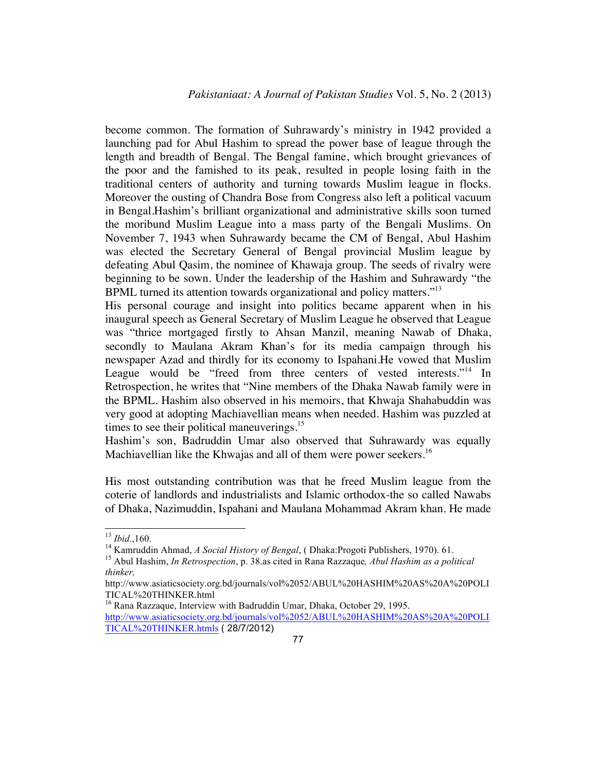become common. The formation of Suhrawardy's ministry in 1942 provided a launching pad for Abul Hashim to spread the power base of league through the length and breadth of Bengal. The Bengal famine, which brought grievances of the poor and the famished to its peak, resulted in people losing faith in the traditional centers of authority and turning towards Muslim league in flocks. Moreover the ousting of Chandra Bose from Congress also left a political vacuum in Bengal.Hashim's brilliant organizational and administrative skills soon turned the moribund Muslim League into a mass party of the Bengali Muslims. On November 7, 1943 when Suhrawardy became the CM of Bengal, Abul Hashim was elected the Secretary General of Bengal provincial Muslim league by defeating Abul Qasim, the nominee of Khawaja group. The seeds of rivalry were beginning to be sown. Under the leadership of the Hashim and Suhrawardy "the BPML turned its attention towards organizational and policy matters."<sup>13</sup>

His personal courage and insight into politics became apparent when in his inaugural speech as General Secretary of Muslim League he observed that League was "thrice mortgaged firstly to Ahsan Manzil, meaning Nawab of Dhaka, secondly to Maulana Akram Khan's for its media campaign through his newspaper Azad and thirdly for its economy to Ispahani.He vowed that Muslim League would be "freed from three centers of vested interests."<sup>14</sup> In Retrospection, he writes that "Nine members of the Dhaka Nawab family were in the BPML. Hashim also observed in his memoirs, that Khwaja Shahabuddin was very good at adopting Machiavellian means when needed. Hashim was puzzled at times to see their political maneuverings.<sup>15</sup>

Hashim's son, Badruddin Umar also observed that Suhrawardy was equally Machiavellian like the Khwajas and all of them were power seekers.<sup>16</sup>

His most outstanding contribution was that he freed Muslim league from the coterie of landlords and industrialists and Islamic orthodox-the so called Nawabs of Dhaka, Nazimuddin, Ispahani and Maulana Mohammad Akram khan. He made

<sup>&</sup>lt;sup>13</sup> *Ibid.*,160.<br><sup>14</sup> Kamruddin Ahmad, *A Social History of Bengal*, ( Dhaka:Progoti Publishers, 1970). 61.<br><sup>15</sup> Abul Hashim, *In Retrospection*, p. 38.as cited in Rana Razzaque, *Abul Hashim as a political thinker,*

http://www.asiaticsociety.org.bd/journals/vol%2052/ABUL%20HASHIM%20AS%20A%20POLI TICAL%20THINKER.html

<sup>&</sup>lt;sup>16</sup> Rana Razzaque, Interview with Badruddin Umar, Dhaka, October 29, 1995. http://www.asiaticsociety.org.bd/journals/vol%2052/ABUL%20HASHIM%20AS%20A%20POLI TICAL%20THINKER.htmls ( 28/7/2012)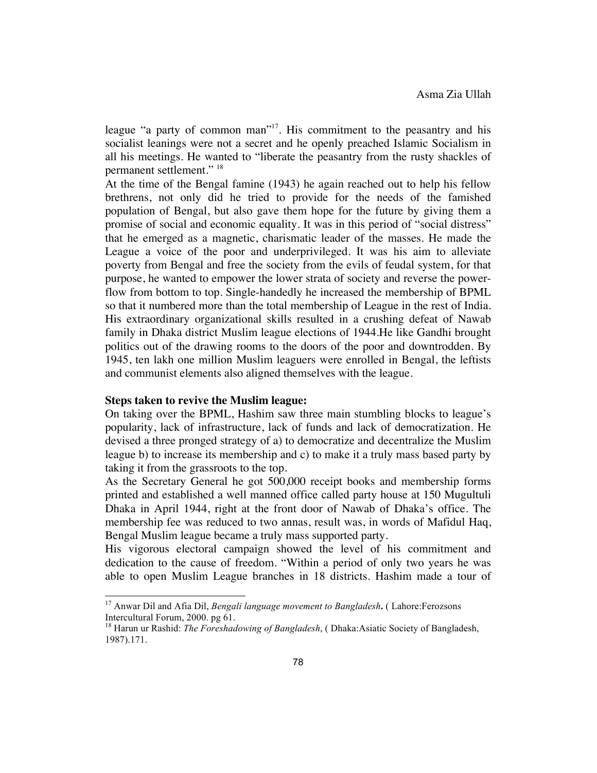league "a party of common man"<sup>17</sup>. His commitment to the peasantry and his socialist leanings were not a secret and he openly preached Islamic Socialism in all his meetings. He wanted to "liberate the peasantry from the rusty shackles of permanent settlement." 18

At the time of the Bengal famine (1943) he again reached out to help his fellow brethrens, not only did he tried to provide for the needs of the famished population of Bengal, but also gave them hope for the future by giving them a promise of social and economic equality. It was in this period of "social distress" that he emerged as a magnetic, charismatic leader of the masses. He made the League a voice of the poor and underprivileged. It was his aim to alleviate poverty from Bengal and free the society from the evils of feudal system, for that purpose, he wanted to empower the lower strata of society and reverse the powerflow from bottom to top. Single-handedly he increased the membership of BPML so that it numbered more than the total membership of League in the rest of India. His extraordinary organizational skills resulted in a crushing defeat of Nawab family in Dhaka district Muslim league elections of 1944.He like Gandhi brought politics out of the drawing rooms to the doors of the poor and downtrodden. By 1945, ten lakh one million Muslim leaguers were enrolled in Bengal, the leftists and communist elements also aligned themselves with the league.

#### **Steps taken to revive the Muslim league:**

On taking over the BPML, Hashim saw three main stumbling blocks to league's popularity, lack of infrastructure, lack of funds and lack of democratization. He devised a three pronged strategy of a) to democratize and decentralize the Muslim league b) to increase its membership and c) to make it a truly mass based party by taking it from the grassroots to the top.

As the Secretary General he got 500,000 receipt books and membership forms printed and established a well manned office called party house at 150 Mugultuli Dhaka in April 1944, right at the front door of Nawab of Dhaka's office. The membership fee was reduced to two annas, result was, in words of Mafidul Haq, Bengal Muslim league became a truly mass supported party.

His vigorous electoral campaign showed the level of his commitment and dedication to the cause of freedom. "Within a period of only two years he was able to open Muslim League branches in 18 districts. Hashim made a tour of

<sup>&</sup>lt;sup>17</sup> Anwar Dil and Afia Dil, *Bengali language movement to Bangladesh***.** (Lahore:Ferozsons Intercultural Forum, 2000. pg 61.

<sup>&</sup>lt;sup>18</sup> Harun ur Rashid: *The Foreshadowing of Bangladesh*, (Dhaka:Asiatic Society of Bangladesh, 1987).171.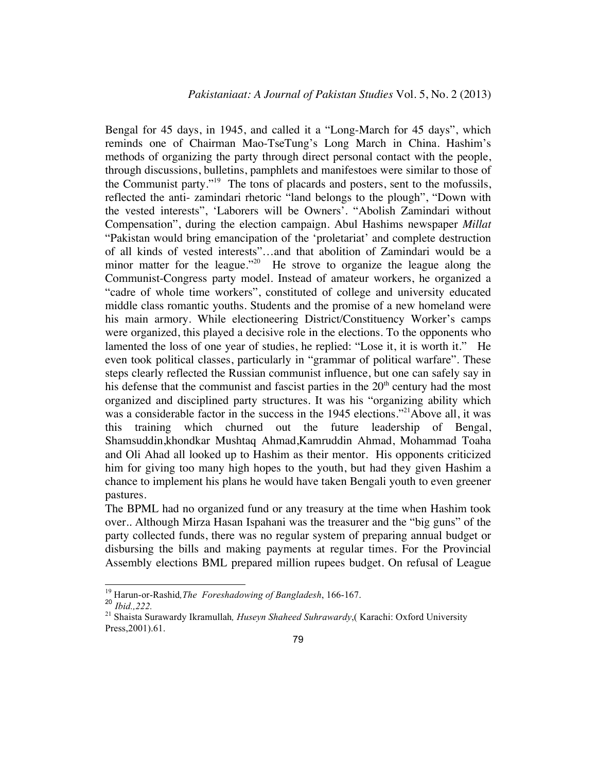Bengal for 45 days, in 1945, and called it a "Long-March for 45 days", which reminds one of Chairman Mao-TseTung's Long March in China. Hashim's methods of organizing the party through direct personal contact with the people, through discussions, bulletins, pamphlets and manifestoes were similar to those of the Communist party."<sup>19</sup> The tons of placards and posters, sent to the mofussils, reflected the anti- zamindari rhetoric "land belongs to the plough", "Down with the vested interests", 'Laborers will be Owners'. "Abolish Zamindari without Compensation", during the election campaign. Abul Hashims newspaper *Millat*  "Pakistan would bring emancipation of the 'proletariat' and complete destruction of all kinds of vested interests"…and that abolition of Zamindari would be a minor matter for the league."<sup>20</sup> He strove to organize the league along the Communist-Congress party model. Instead of amateur workers, he organized a "cadre of whole time workers", constituted of college and university educated middle class romantic youths. Students and the promise of a new homeland were his main armory. While electioneering District/Constituency Worker's camps were organized, this played a decisive role in the elections. To the opponents who lamented the loss of one year of studies, he replied: "Lose it, it is worth it." He even took political classes, particularly in "grammar of political warfare". These steps clearly reflected the Russian communist influence, but one can safely say in his defense that the communist and fascist parties in the  $20<sup>th</sup>$  century had the most organized and disciplined party structures. It was his "organizing ability which was a considerable factor in the success in the 1945 elections."<sup>21</sup>Above all, it was this training which churned out the future leadership of Bengal, Shamsuddin,khondkar Mushtaq Ahmad,Kamruddin Ahmad, Mohammad Toaha and Oli Ahad all looked up to Hashim as their mentor. His opponents criticized him for giving too many high hopes to the youth, but had they given Hashim a chance to implement his plans he would have taken Bengali youth to even greener pastures.

The BPML had no organized fund or any treasury at the time when Hashim took over.. Although Mirza Hasan Ispahani was the treasurer and the "big guns" of the party collected funds, there was no regular system of preparing annual budget or disbursing the bills and making payments at regular times. For the Provincial Assembly elections BML prepared million rupees budget. On refusal of League

<sup>&</sup>lt;sup>19</sup> Harun-or-Rashid, *The Foreshadowing of Bangladesh*, 166-167.<br><sup>20</sup> *Ihid* 222

<sup>&</sup>lt;sup>21</sup> Shaista Surawardy Ikramullah, *Huseyn Shaheed Suhrawardy*, (Karachi: Oxford University Press,2001).61.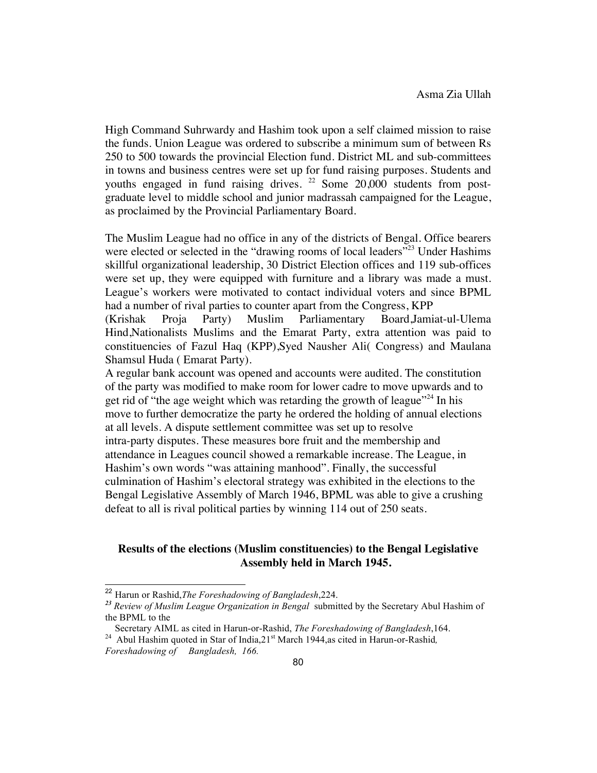High Command Suhrwardy and Hashim took upon a self claimed mission to raise the funds. Union League was ordered to subscribe a minimum sum of between Rs 250 to 500 towards the provincial Election fund. District ML and sub-committees in towns and business centres were set up for fund raising purposes. Students and youths engaged in fund raising drives. <sup>22</sup> Some 20,000 students from postgraduate level to middle school and junior madrassah campaigned for the League, as proclaimed by the Provincial Parliamentary Board.

The Muslim League had no office in any of the districts of Bengal. Office bearers were elected or selected in the "drawing rooms of local leaders"<sup>23</sup> Under Hashims skillful organizational leadership, 30 District Election offices and 119 sub-offices were set up, they were equipped with furniture and a library was made a must. League's workers were motivated to contact individual voters and since BPML had a number of rival parties to counter apart from the Congress, KPP

(Krishak Proja Party) Muslim Parliamentary Board,Jamiat-ul-Ulema Hind,Nationalists Muslims and the Emarat Party, extra attention was paid to constituencies of Fazul Haq (KPP),Syed Nausher Ali( Congress) and Maulana Shamsul Huda ( Emarat Party).

A regular bank account was opened and accounts were audited. The constitution of the party was modified to make room for lower cadre to move upwards and to get rid of "the age weight which was retarding the growth of league"<sup>24</sup> In his move to further democratize the party he ordered the holding of annual elections at all levels. A dispute settlement committee was set up to resolve intra-party disputes. These measures bore fruit and the membership and attendance in Leagues council showed a remarkable increase. The League, in Hashim's own words "was attaining manhood". Finally, the successful culmination of Hashim's electoral strategy was exhibited in the elections to the Bengal Legislative Assembly of March 1946, BPML was able to give a crushing defeat to all is rival political parties by winning 114 out of 250 seats.

## **Results of the elections (Muslim constituencies) to the Bengal Legislative Assembly held in March 1945.**

<sup>22</sup> Harun or Rashid,*The Foreshadowing of Bangladesh*,224. *<sup>23</sup> Review of Muslim League Organization in Bengal* submitted by the Secretary Abul Hashim of the BPML to the

Secretary AIML as cited in Harun-or-Rashid, *The Foreshadowing of Bangladesh*,164. 24 Abul Hashim quoted in Star of India,21st March 1944,as cited in Harun-or-Rashid*,* 

*Foreshadowing of Bangladesh, 166.*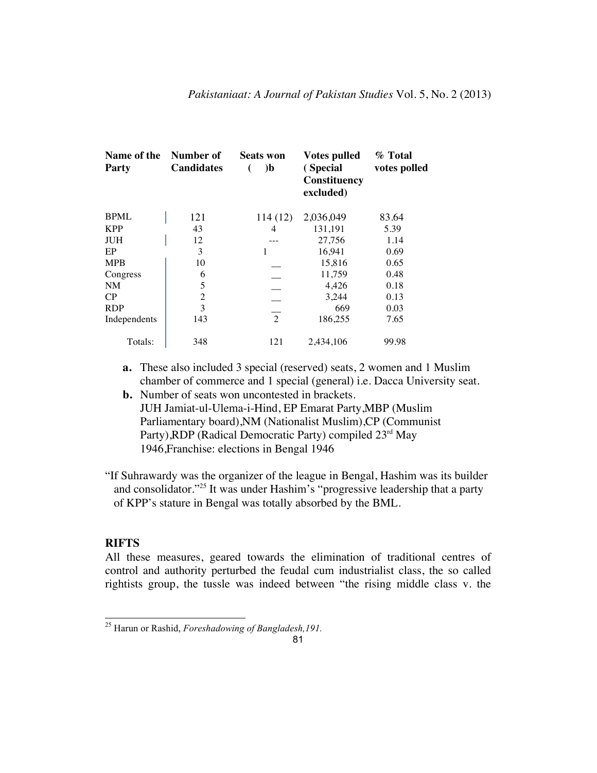| Name of the<br>Party | Number of<br><b>Candidates</b> | <b>Seats won</b><br>$\mathbf{b}$ | <b>Votes pulled</b><br>(Special<br>Constituency<br>excluded) | % Total<br>votes polled |
|----------------------|--------------------------------|----------------------------------|--------------------------------------------------------------|-------------------------|
| <b>BPML</b>          | 121                            | 114(12)                          | 2,036,049                                                    | 83.64                   |
| <b>KPP</b>           | 43                             | 4                                | 131,191                                                      | 5.39                    |
| <b>JUH</b>           | 12                             |                                  | 27,756                                                       | 1.14                    |
| EP                   | 3                              | 1                                | 16.941                                                       | 0.69                    |
| <b>MPB</b>           | 10                             |                                  | 15,816                                                       | 0.65                    |
| Congress             | 6                              |                                  | 11,759                                                       | 0.48                    |
| NM                   | 5                              |                                  | 4,426                                                        | 0.18                    |
| CP                   | $\overline{2}$                 |                                  | 3,244                                                        | 0.13                    |
| <b>RDP</b>           | 3                              |                                  | 669                                                          | 0.03                    |
| Independents         | 143                            | $\overline{2}$                   | 186,255                                                      | 7.65                    |
| Totals:              | 348                            | 121                              | 2.434.106                                                    | 99.98                   |

- **a.** These also included 3 special (reserved) seats, 2 women and 1 Muslim chamber of commerce and 1 special (general) i.e. Dacca University seat.
- **b.** Number of seats won uncontested in brackets. JUH Jamiat-ul-Ulema-i-Hind, EP Emarat Party,MBP (Muslim Parliamentary board),NM (Nationalist Muslim),CP (Communist Party), RDP (Radical Democratic Party) compiled  $23<sup>rd</sup>$  May 1946,Franchise: elections in Bengal 1946
- "If Suhrawardy was the organizer of the league in Bengal, Hashim was its builder and consolidator."25 It was under Hashim's "progressive leadership that a party of KPP's stature in Bengal was totally absorbed by the BML.

## **RIFTS**

All these measures, geared towards the elimination of traditional centres of control and authority perturbed the feudal cum industrialist class, the so called rightists group, the tussle was indeed between "the rising middle class v. the

<sup>25</sup> Harun or Rashid, *Foreshadowing of Bangladesh,191.*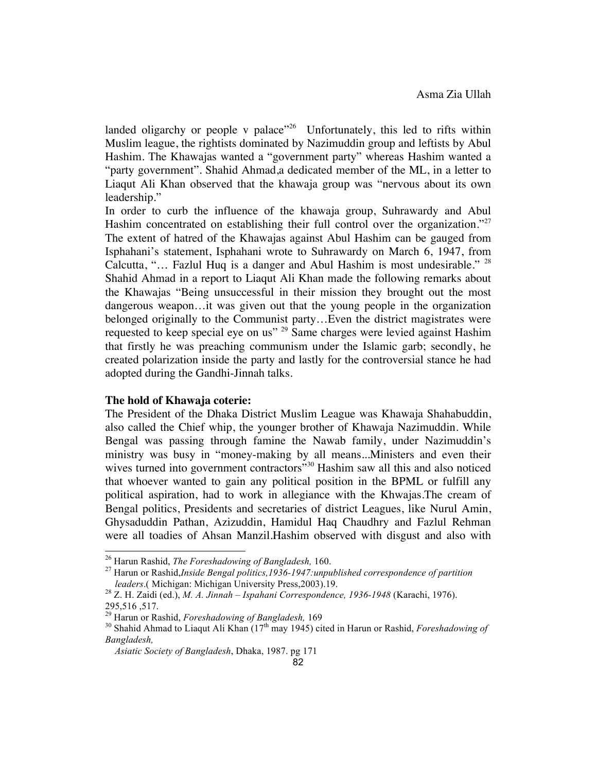landed oligarchy or people v palace<sup> $26$ </sup> Unfortunately, this led to rifts within Muslim league, the rightists dominated by Nazimuddin group and leftists by Abul Hashim. The Khawajas wanted a "government party" whereas Hashim wanted a "party government". Shahid Ahmad,a dedicated member of the ML, in a letter to Liaqut Ali Khan observed that the khawaja group was "nervous about its own leadership."

In order to curb the influence of the khawaja group, Suhrawardy and Abul Hashim concentrated on establishing their full control over the organization.<sup>"27</sup> The extent of hatred of the Khawajas against Abul Hashim can be gauged from Isphahani's statement, Isphahani wrote to Suhrawardy on March 6, 1947, from Calcutta, "… Fazlul Huq is a danger and Abul Hashim is most undesirable." <sup>28</sup> Shahid Ahmad in a report to Liaqut Ali Khan made the following remarks about the Khawajas "Being unsuccessful in their mission they brought out the most dangerous weapon…it was given out that the young people in the organization belonged originally to the Communist party…Even the district magistrates were requested to keep special eye on us" <sup>29</sup> Same charges were levied against Hashim that firstly he was preaching communism under the Islamic garb; secondly, he created polarization inside the party and lastly for the controversial stance he had adopted during the Gandhi-Jinnah talks.

#### **The hold of Khawaja coterie:**

The President of the Dhaka District Muslim League was Khawaja Shahabuddin, also called the Chief whip, the younger brother of Khawaja Nazimuddin. While Bengal was passing through famine the Nawab family, under Nazimuddin's ministry was busy in "money-making by all means...Ministers and even their wives turned into government contractors"<sup>30</sup> Hashim saw all this and also noticed that whoever wanted to gain any political position in the BPML or fulfill any political aspiration, had to work in allegiance with the Khwajas.The cream of Bengal politics, Presidents and secretaries of district Leagues, like Nurul Amin, Ghysaduddin Pathan, Azizuddin, Hamidul Haq Chaudhry and Fazlul Rehman were all toadies of Ahsan Manzil.Hashim observed with disgust and also with

<sup>&</sup>lt;sup>26</sup> Harun Rashid, *The Foreshadowing of Bangladesh*, 160.<br><sup>27</sup> Harun or Rashid,*Inside Bengal politics,1936-1947:unpublished correspondence of partition* 

*leaders*.( Michigan: Michigan University Press,2003).19. <sup>28</sup> Z. H. Zaidi (ed.), *M. A. Jinnah – Ispahani Correspondence, 1936-1948* (Karachi, 1976). 295,516,517.<br><sup>29</sup> Harun or Rashid, *Foreshadowing of Bangladesh*, 169

<sup>&</sup>lt;sup>30</sup> Shahid Ahmad to Liaqut Ali Khan (17<sup>th</sup> may 1945) cited in Harun or Rashid, *Foreshadowing of Bangladesh,*

*Asiatic Society of Bangladesh*, Dhaka, 1987. pg 171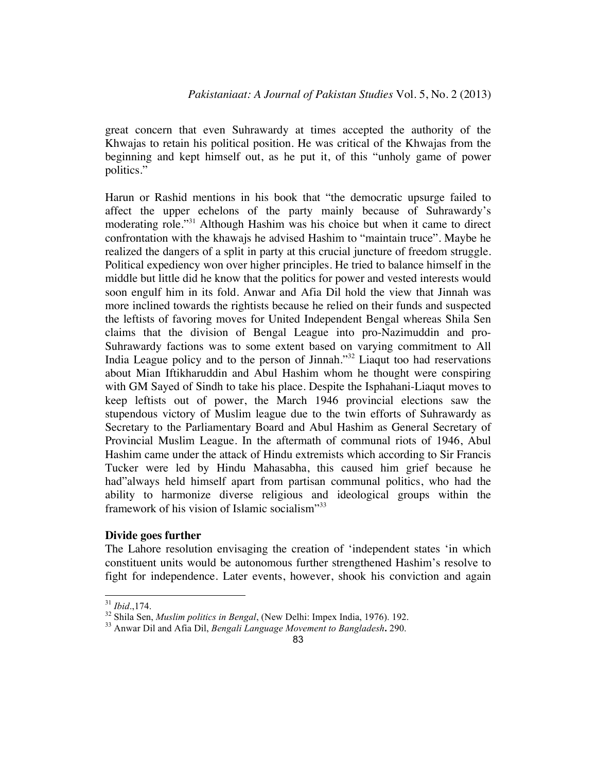great concern that even Suhrawardy at times accepted the authority of the Khwajas to retain his political position. He was critical of the Khwajas from the beginning and kept himself out, as he put it, of this "unholy game of power politics."

Harun or Rashid mentions in his book that "the democratic upsurge failed to affect the upper echelons of the party mainly because of Suhrawardy's moderating role."<sup>31</sup> Although Hashim was his choice but when it came to direct confrontation with the khawajs he advised Hashim to "maintain truce". Maybe he realized the dangers of a split in party at this crucial juncture of freedom struggle. Political expediency won over higher principles. He tried to balance himself in the middle but little did he know that the politics for power and vested interests would soon engulf him in its fold. Anwar and Afia Dil hold the view that Jinnah was more inclined towards the rightists because he relied on their funds and suspected the leftists of favoring moves for United Independent Bengal whereas Shila Sen claims that the division of Bengal League into pro-Nazimuddin and pro-Suhrawardy factions was to some extent based on varying commitment to All India League policy and to the person of Jinnah."<sup>32</sup> Liaqut too had reservations about Mian Iftikharuddin and Abul Hashim whom he thought were conspiring with GM Sayed of Sindh to take his place. Despite the Isphahani-Liaqut moves to keep leftists out of power, the March 1946 provincial elections saw the stupendous victory of Muslim league due to the twin efforts of Suhrawardy as Secretary to the Parliamentary Board and Abul Hashim as General Secretary of Provincial Muslim League. In the aftermath of communal riots of 1946, Abul Hashim came under the attack of Hindu extremists which according to Sir Francis Tucker were led by Hindu Mahasabha, this caused him grief because he had"always held himself apart from partisan communal politics, who had the ability to harmonize diverse religious and ideological groups within the framework of his vision of Islamic socialism"<sup>33</sup>

#### **Divide goes further**

The Lahore resolution envisaging the creation of 'independent states 'in which constituent units would be autonomous further strengthened Hashim's resolve to fight for independence. Later events, however, shook his conviction and again

<sup>31</sup> *Ibid*.,174. <sup>32</sup> Shila Sen, *Muslim politics in Bengal*, (New Delhi: Impex India, 1976). 192. <sup>33</sup> Anwar Dil and Afia Dil, *Bengali Language Movement to Bangladesh***.** 290.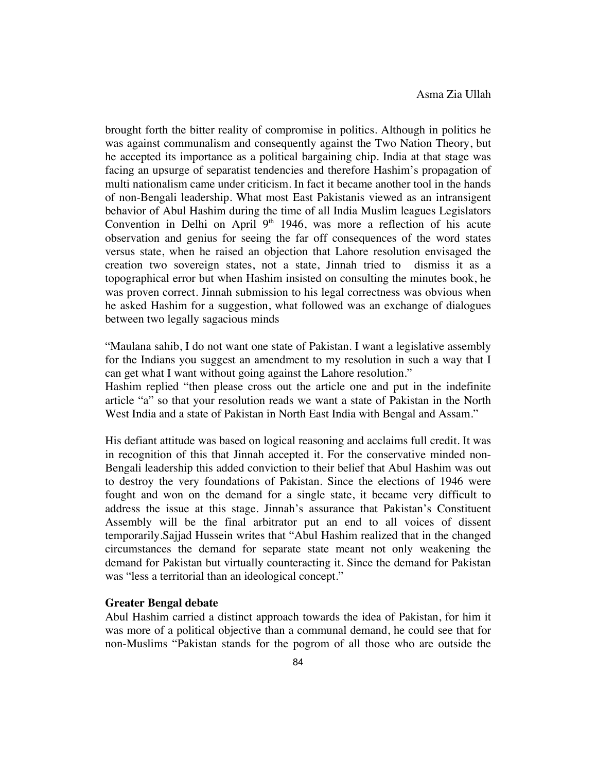brought forth the bitter reality of compromise in politics. Although in politics he was against communalism and consequently against the Two Nation Theory, but he accepted its importance as a political bargaining chip. India at that stage was facing an upsurge of separatist tendencies and therefore Hashim's propagation of multi nationalism came under criticism. In fact it became another tool in the hands of non-Bengali leadership. What most East Pakistanis viewed as an intransigent behavior of Abul Hashim during the time of all India Muslim leagues Legislators Convention in Delhi on April  $9<sup>th</sup>$  1946, was more a reflection of his acute observation and genius for seeing the far off consequences of the word states versus state, when he raised an objection that Lahore resolution envisaged the creation two sovereign states, not a state, Jinnah tried to dismiss it as a topographical error but when Hashim insisted on consulting the minutes book, he was proven correct. Jinnah submission to his legal correctness was obvious when he asked Hashim for a suggestion, what followed was an exchange of dialogues between two legally sagacious minds

"Maulana sahib, I do not want one state of Pakistan. I want a legislative assembly for the Indians you suggest an amendment to my resolution in such a way that I can get what I want without going against the Lahore resolution."

Hashim replied "then please cross out the article one and put in the indefinite article "a" so that your resolution reads we want a state of Pakistan in the North West India and a state of Pakistan in North East India with Bengal and Assam."

His defiant attitude was based on logical reasoning and acclaims full credit. It was in recognition of this that Jinnah accepted it. For the conservative minded non-Bengali leadership this added conviction to their belief that Abul Hashim was out to destroy the very foundations of Pakistan. Since the elections of 1946 were fought and won on the demand for a single state, it became very difficult to address the issue at this stage. Jinnah's assurance that Pakistan's Constituent Assembly will be the final arbitrator put an end to all voices of dissent temporarily.Sajjad Hussein writes that "Abul Hashim realized that in the changed circumstances the demand for separate state meant not only weakening the demand for Pakistan but virtually counteracting it. Since the demand for Pakistan was "less a territorial than an ideological concept."

#### **Greater Bengal debate**

Abul Hashim carried a distinct approach towards the idea of Pakistan, for him it was more of a political objective than a communal demand, he could see that for non-Muslims "Pakistan stands for the pogrom of all those who are outside the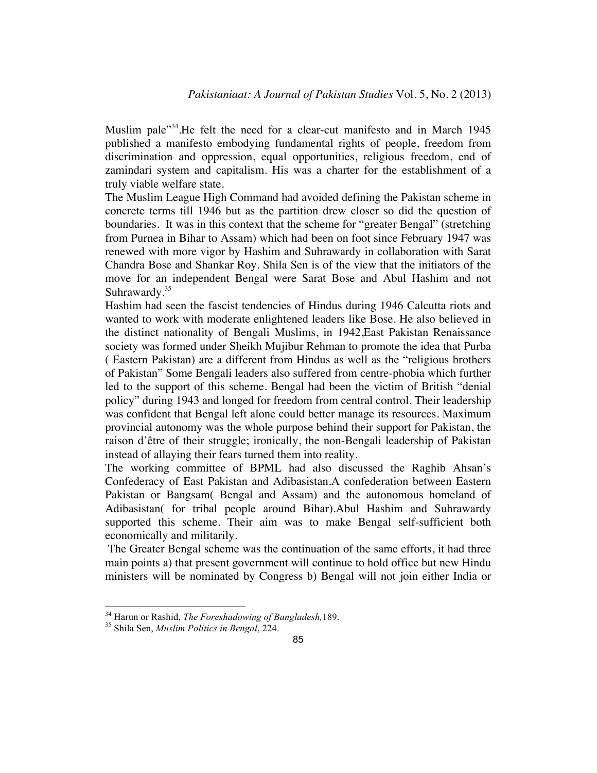Muslim pale<sup>334</sup>. He felt the need for a clear-cut manifesto and in March 1945 published a manifesto embodying fundamental rights of people, freedom from discrimination and oppression, equal opportunities, religious freedom, end of zamindari system and capitalism. His was a charter for the establishment of a truly viable welfare state.

The Muslim League High Command had avoided defining the Pakistan scheme in concrete terms till 1946 but as the partition drew closer so did the question of boundaries. It was in this context that the scheme for "greater Bengal" (stretching from Purnea in Bihar to Assam) which had been on foot since February 1947 was renewed with more vigor by Hashim and Suhrawardy in collaboration with Sarat Chandra Bose and Shankar Roy. Shila Sen is of the view that the initiators of the move for an independent Bengal were Sarat Bose and Abul Hashim and not Suhrawardy.<sup>35</sup>

Hashim had seen the fascist tendencies of Hindus during 1946 Calcutta riots and wanted to work with moderate enlightened leaders like Bose. He also believed in the distinct nationality of Bengali Muslims, in 1942,East Pakistan Renaissance society was formed under Sheikh Mujibur Rehman to promote the idea that Purba ( Eastern Pakistan) are a different from Hindus as well as the "religious brothers of Pakistan" Some Bengali leaders also suffered from centre-phobia which further led to the support of this scheme. Bengal had been the victim of British "denial policy" during 1943 and longed for freedom from central control. Their leadership was confident that Bengal left alone could better manage its resources. Maximum provincial autonomy was the whole purpose behind their support for Pakistan, the raison d'être of their struggle; ironically, the non-Bengali leadership of Pakistan instead of allaying their fears turned them into reality.

The working committee of BPML had also discussed the Raghib Ahsan's Confederacy of East Pakistan and Adibasistan.A confederation between Eastern Pakistan or Bangsam( Bengal and Assam) and the autonomous homeland of Adibasistan( for tribal people around Bihar).Abul Hashim and Suhrawardy supported this scheme. Their aim was to make Bengal self-sufficient both economically and militarily.

The Greater Bengal scheme was the continuation of the same efforts, it had three main points a) that present government will continue to hold office but new Hindu ministers will be nominated by Congress b) Bengal will not join either India or

<sup>34</sup> Harun or Rashid, *The Foreshadowing of Bangladesh,*189. <sup>35</sup> Shila Sen, *Muslim Politics in Bengal*, 224.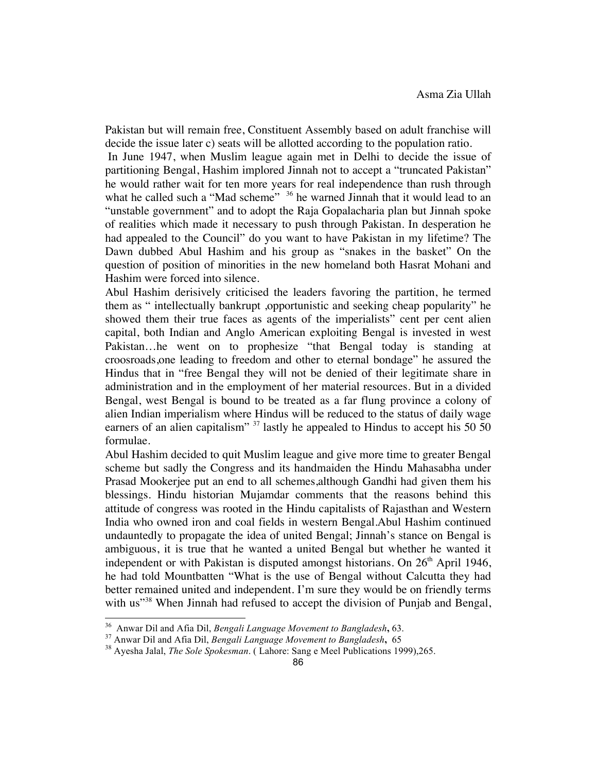Pakistan but will remain free, Constituent Assembly based on adult franchise will decide the issue later c) seats will be allotted according to the population ratio.

In June 1947, when Muslim league again met in Delhi to decide the issue of partitioning Bengal, Hashim implored Jinnah not to accept a "truncated Pakistan" he would rather wait for ten more years for real independence than rush through what he called such a "Mad scheme" <sup>36</sup> he warned Jinnah that it would lead to an "unstable government" and to adopt the Raja Gopalacharia plan but Jinnah spoke of realities which made it necessary to push through Pakistan. In desperation he had appealed to the Council" do you want to have Pakistan in my lifetime? The Dawn dubbed Abul Hashim and his group as "snakes in the basket" On the question of position of minorities in the new homeland both Hasrat Mohani and Hashim were forced into silence.

Abul Hashim derisively criticised the leaders favoring the partition, he termed them as " intellectually bankrupt ,opportunistic and seeking cheap popularity" he showed them their true faces as agents of the imperialists" cent per cent alien capital, both Indian and Anglo American exploiting Bengal is invested in west Pakistan…he went on to prophesize "that Bengal today is standing at croosroads,one leading to freedom and other to eternal bondage" he assured the Hindus that in "free Bengal they will not be denied of their legitimate share in administration and in the employment of her material resources. But in a divided Bengal, west Bengal is bound to be treated as a far flung province a colony of alien Indian imperialism where Hindus will be reduced to the status of daily wage earners of an alien capitalism"  $37$  lastly he appealed to Hindus to accept his 50 50 formulae.

Abul Hashim decided to quit Muslim league and give more time to greater Bengal scheme but sadly the Congress and its handmaiden the Hindu Mahasabha under Prasad Mookerjee put an end to all schemes,although Gandhi had given them his blessings. Hindu historian Mujamdar comments that the reasons behind this attitude of congress was rooted in the Hindu capitalists of Rajasthan and Western India who owned iron and coal fields in western Bengal.Abul Hashim continued undauntedly to propagate the idea of united Bengal; Jinnah's stance on Bengal is ambiguous, it is true that he wanted a united Bengal but whether he wanted it independent or with Pakistan is disputed amongst historians. On  $26<sup>th</sup>$  April 1946, he had told Mountbatten "What is the use of Bengal without Calcutta they had better remained united and independent. I'm sure they would be on friendly terms with us<sup>"38</sup> When Jinnah had refused to accept the division of Punjab and Bengal,

<sup>&</sup>lt;sup>36</sup> Anwar Dil and Afia Dil, *Bengali Language Movement to Bangladesh*, 63.<br><sup>37</sup> Anwar Dil and Afia Dil, *Bengali Language Movement to Bangladesh*, 65<br><sup>38</sup> Ayesha Jalal, *The Sole Spokesman*. ( Lahore: Sang e Meel Publica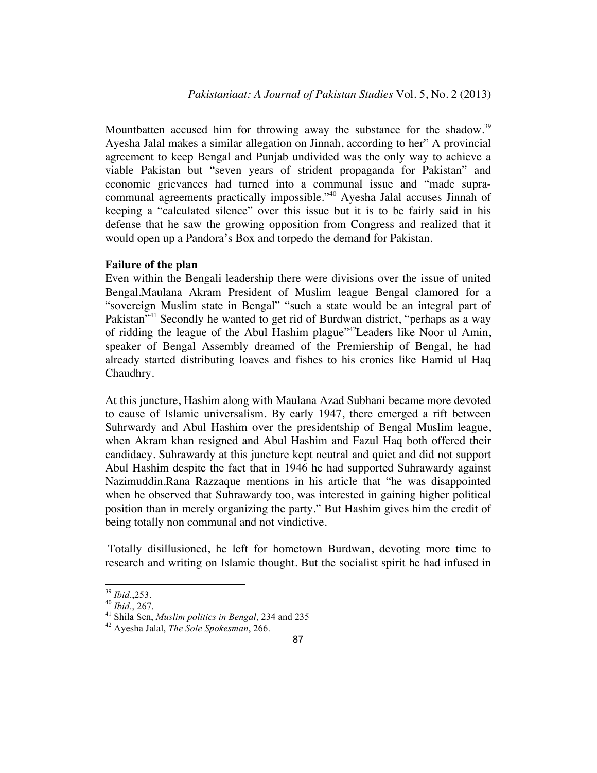Mountbatten accused him for throwing away the substance for the shadow.<sup>39</sup> Ayesha Jalal makes a similar allegation on Jinnah, according to her" A provincial agreement to keep Bengal and Punjab undivided was the only way to achieve a viable Pakistan but "seven years of strident propaganda for Pakistan" and economic grievances had turned into a communal issue and "made supracommunal agreements practically impossible."<sup>40</sup> Ayesha Jalal accuses Jinnah of keeping a "calculated silence" over this issue but it is to be fairly said in his defense that he saw the growing opposition from Congress and realized that it would open up a Pandora's Box and torpedo the demand for Pakistan.

#### **Failure of the plan**

Even within the Bengali leadership there were divisions over the issue of united Bengal.Maulana Akram President of Muslim league Bengal clamored for a "sovereign Muslim state in Bengal" "such a state would be an integral part of Pakistan<sup>"41</sup> Secondly he wanted to get rid of Burdwan district, "perhaps as a way of ridding the league of the Abul Hashim plague"42Leaders like Noor ul Amin, speaker of Bengal Assembly dreamed of the Premiership of Bengal, he had already started distributing loaves and fishes to his cronies like Hamid ul Haq Chaudhry.

At this juncture, Hashim along with Maulana Azad Subhani became more devoted to cause of Islamic universalism. By early 1947, there emerged a rift between Suhrwardy and Abul Hashim over the presidentship of Bengal Muslim league, when Akram khan resigned and Abul Hashim and Fazul Haq both offered their candidacy. Suhrawardy at this juncture kept neutral and quiet and did not support Abul Hashim despite the fact that in 1946 he had supported Suhrawardy against Nazimuddin.Rana Razzaque mentions in his article that "he was disappointed when he observed that Suhrawardy too, was interested in gaining higher political position than in merely organizing the party." But Hashim gives him the credit of being totally non communal and not vindictive.

Totally disillusioned, he left for hometown Burdwan, devoting more time to research and writing on Islamic thought. But the socialist spirit he had infused in

<sup>39</sup> *Ibid*.,253. <sup>40</sup> *Ibid*., 267. <sup>41</sup> Shila Sen, *Muslim politics in Bengal*, 234 and 235 <sup>42</sup> Ayesha Jalal, *The Sole Spokesman*, 266.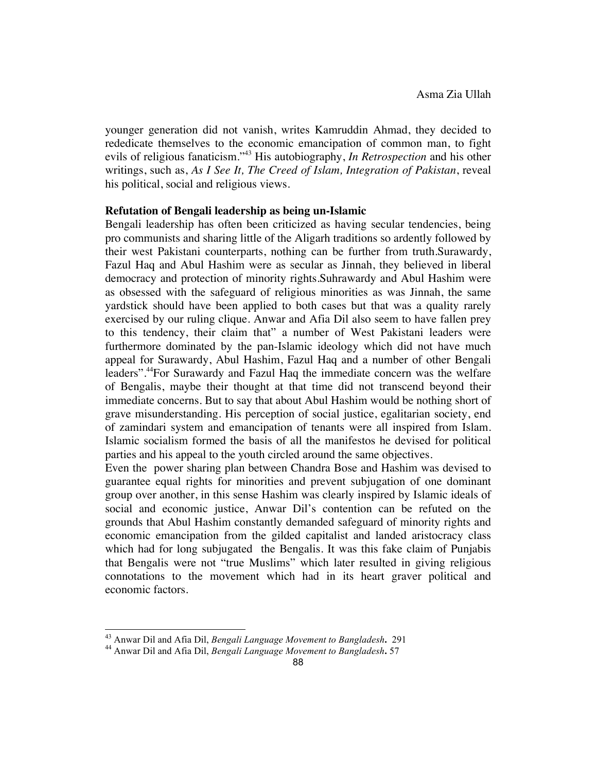younger generation did not vanish, writes Kamruddin Ahmad, they decided to rededicate themselves to the economic emancipation of common man, to fight evils of religious fanaticism."43 His autobiography, *In Retrospection* and his other writings, such as, *As I See It, The Creed of Islam, Integration of Pakistan*, reveal his political, social and religious views.

#### **Refutation of Bengali leadership as being un-Islamic**

Bengali leadership has often been criticized as having secular tendencies, being pro communists and sharing little of the Aligarh traditions so ardently followed by their west Pakistani counterparts, nothing can be further from truth.Surawardy, Fazul Haq and Abul Hashim were as secular as Jinnah, they believed in liberal democracy and protection of minority rights.Suhrawardy and Abul Hashim were as obsessed with the safeguard of religious minorities as was Jinnah, the same yardstick should have been applied to both cases but that was a quality rarely exercised by our ruling clique. Anwar and Afia Dil also seem to have fallen prey to this tendency, their claim that" a number of West Pakistani leaders were furthermore dominated by the pan-Islamic ideology which did not have much appeal for Surawardy, Abul Hashim, Fazul Haq and a number of other Bengali leaders".44For Surawardy and Fazul Haq the immediate concern was the welfare of Bengalis, maybe their thought at that time did not transcend beyond their immediate concerns. But to say that about Abul Hashim would be nothing short of grave misunderstanding. His perception of social justice, egalitarian society, end of zamindari system and emancipation of tenants were all inspired from Islam. Islamic socialism formed the basis of all the manifestos he devised for political parties and his appeal to the youth circled around the same objectives.

Even the power sharing plan between Chandra Bose and Hashim was devised to guarantee equal rights for minorities and prevent subjugation of one dominant group over another, in this sense Hashim was clearly inspired by Islamic ideals of social and economic justice, Anwar Dil's contention can be refuted on the grounds that Abul Hashim constantly demanded safeguard of minority rights and economic emancipation from the gilded capitalist and landed aristocracy class which had for long subjugated the Bengalis. It was this fake claim of Punjabis that Bengalis were not "true Muslims" which later resulted in giving religious connotations to the movement which had in its heart graver political and economic factors.

<sup>43</sup> Anwar Dil and Afia Dil, *Bengali Language Movement to Bangladesh***.**<sup>291</sup> <sup>44</sup> Anwar Dil and Afia Dil, *Bengali Language Movement to Bangladesh***.** <sup>57</sup>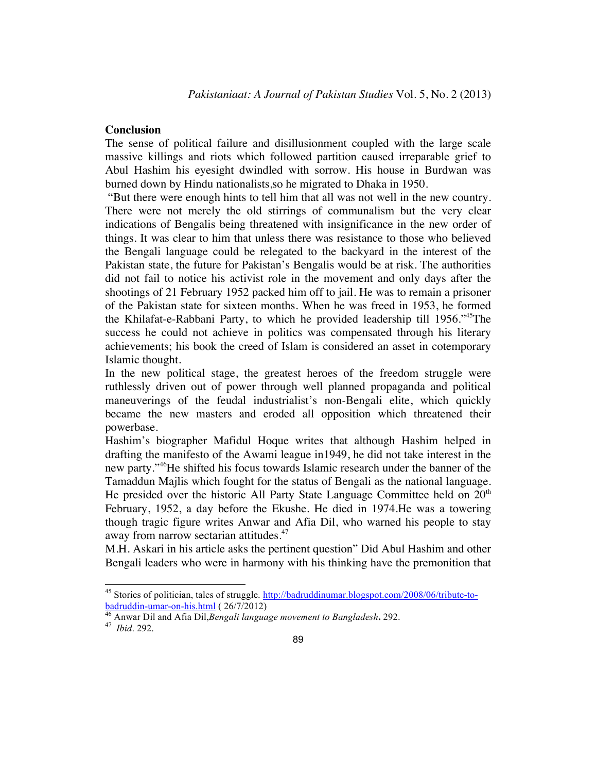#### **Conclusion**

The sense of political failure and disillusionment coupled with the large scale massive killings and riots which followed partition caused irreparable grief to Abul Hashim his eyesight dwindled with sorrow. His house in Burdwan was burned down by Hindu nationalists,so he migrated to Dhaka in 1950.

"But there were enough hints to tell him that all was not well in the new country. There were not merely the old stirrings of communalism but the very clear indications of Bengalis being threatened with insignificance in the new order of things. It was clear to him that unless there was resistance to those who believed the Bengali language could be relegated to the backyard in the interest of the Pakistan state, the future for Pakistan's Bengalis would be at risk. The authorities did not fail to notice his activist role in the movement and only days after the shootings of 21 February 1952 packed him off to jail. He was to remain a prisoner of the Pakistan state for sixteen months. When he was freed in 1953, he formed the Khilafat-e-Rabbani Party, to which he provided leadership till 1956."45The success he could not achieve in politics was compensated through his literary achievements; his book the creed of Islam is considered an asset in cotemporary Islamic thought.

In the new political stage, the greatest heroes of the freedom struggle were ruthlessly driven out of power through well planned propaganda and political maneuverings of the feudal industrialist's non-Bengali elite, which quickly became the new masters and eroded all opposition which threatened their powerbase.

Hashim's biographer Mafidul Hoque writes that although Hashim helped in drafting the manifesto of the Awami league in1949, he did not take interest in the new party."46He shifted his focus towards Islamic research under the banner of the Tamaddun Majlis which fought for the status of Bengali as the national language. He presided over the historic All Party State Language Committee held on  $20<sup>th</sup>$ February, 1952, a day before the Ekushe. He died in 1974.He was a towering though tragic figure writes Anwar and Afia Dil, who warned his people to stay away from narrow sectarian attitudes.<sup>47</sup>

M.H. Askari in his article asks the pertinent question" Did Abul Hashim and other Bengali leaders who were in harmony with his thinking have the premonition that

<sup>45</sup> Stories of politician, tales of struggle. http://badruddinumar.blogspot.com/2008/06/tribute-tobadruddin-umar-on-his.html ( 26/7/2012) <sup>46</sup> Anwar Dil and Afia Dil,*Bengali language movement to Bangladesh***.** 292. <sup>47</sup>*Ibid*. 292.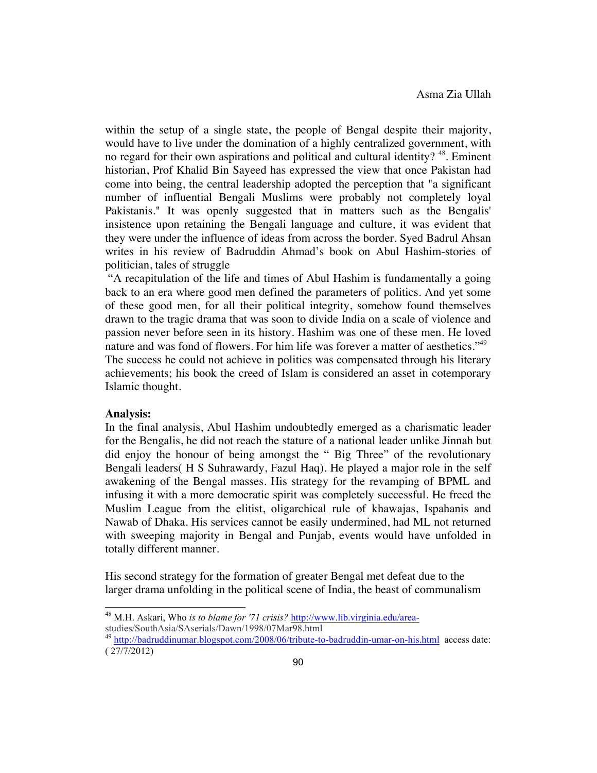within the setup of a single state, the people of Bengal despite their majority, would have to live under the domination of a highly centralized government, with no regard for their own aspirations and political and cultural identity?<sup>48</sup>. Eminent historian, Prof Khalid Bin Sayeed has expressed the view that once Pakistan had come into being, the central leadership adopted the perception that "a significant number of influential Bengali Muslims were probably not completely loyal Pakistanis." It was openly suggested that in matters such as the Bengalis' insistence upon retaining the Bengali language and culture, it was evident that they were under the influence of ideas from across the border. Syed Badrul Ahsan writes in his review of Badruddin Ahmad's book on Abul Hashim-stories of politician, tales of struggle

"A recapitulation of the life and times of Abul Hashim is fundamentally a going back to an era where good men defined the parameters of politics. And yet some of these good men, for all their political integrity, somehow found themselves drawn to the tragic drama that was soon to divide India on a scale of violence and passion never before seen in its history. Hashim was one of these men. He loved nature and was fond of flowers. For him life was forever a matter of aesthetics."<sup>49</sup> The success he could not achieve in politics was compensated through his literary

achievements; his book the creed of Islam is considered an asset in cotemporary Islamic thought.

#### **Analysis:**

In the final analysis, Abul Hashim undoubtedly emerged as a charismatic leader for the Bengalis, he did not reach the stature of a national leader unlike Jinnah but did enjoy the honour of being amongst the " Big Three" of the revolutionary Bengali leaders( H S Suhrawardy, Fazul Haq). He played a major role in the self awakening of the Bengal masses. His strategy for the revamping of BPML and infusing it with a more democratic spirit was completely successful. He freed the Muslim League from the elitist, oligarchical rule of khawajas, Ispahanis and Nawab of Dhaka. His services cannot be easily undermined, had ML not returned with sweeping majority in Bengal and Punjab, events would have unfolded in totally different manner.

His second strategy for the formation of greater Bengal met defeat due to the larger drama unfolding in the political scene of India, the beast of communalism

<sup>48</sup> M.H. Askari, Who *is to blame for '71 crisis?* http://www.lib.virginia.edu/areastudies/SouthAsia/SAserials/Dawn/1998/07Mar98.html

<sup>&</sup>lt;sup>49</sup> http://badruddinumar.blogspot.com/2008/06/tribute-to-badruddin-umar-on-his.html access date: ( 27/7/2012)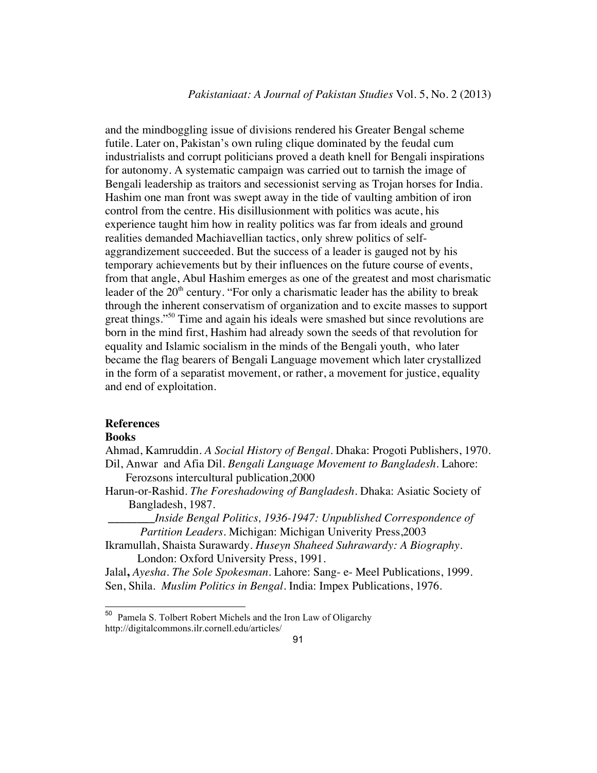and the mindboggling issue of divisions rendered his Greater Bengal scheme futile. Later on, Pakistan's own ruling clique dominated by the feudal cum industrialists and corrupt politicians proved a death knell for Bengali inspirations for autonomy. A systematic campaign was carried out to tarnish the image of Bengali leadership as traitors and secessionist serving as Trojan horses for India. Hashim one man front was swept away in the tide of vaulting ambition of iron control from the centre. His disillusionment with politics was acute, his experience taught him how in reality politics was far from ideals and ground realities demanded Machiavellian tactics, only shrew politics of selfaggrandizement succeeded. But the success of a leader is gauged not by his temporary achievements but by their influences on the future course of events, from that angle, Abul Hashim emerges as one of the greatest and most charismatic leader of the  $20<sup>th</sup>$  century. "For only a charismatic leader has the ability to break through the inherent conservatism of organization and to excite masses to support great things."<sup>50</sup> Time and again his ideals were smashed but since revolutions are born in the mind first, Hashim had already sown the seeds of that revolution for equality and Islamic socialism in the minds of the Bengali youth, who later became the flag bearers of Bengali Language movement which later crystallized in the form of a separatist movement, or rather, a movement for justice, equality and end of exploitation.

## **References**

#### **Books**

Ahmad, Kamruddin. *A Social History of Bengal*. Dhaka: Progoti Publishers, 1970. Dil, Anwar and Afia Dil. *Bengali Language Movement to Bangladesh*. Lahore:

Ferozsons intercultural publication,2000

Harun-or-Rashid. *The Foreshadowing of Bangladesh*. Dhaka: Asiatic Society of Bangladesh, 1987.

*\_\_\_\_\_\_\_\_Inside Bengal Politics, 1936-1947: Unpublished Correspondence of Partition Leaders.* Michigan: Michigan Univerity Press,2003

Ikramullah, Shaista Surawardy. *Huseyn Shaheed Suhrawardy: A Biography*. London: Oxford University Press, 1991.

Jalal**,** *Ayesha. The Sole Spokesman.* Lahore: Sang- e- Meel Publications, 1999. Sen, Shila. *Muslim Politics in Bengal*. India: Impex Publications, 1976.

 <sup>50</sup> Pamela S. Tolbert Robert Michels and the Iron Law of Oligarchy http://digitalcommons.ilr.cornell.edu/articles/